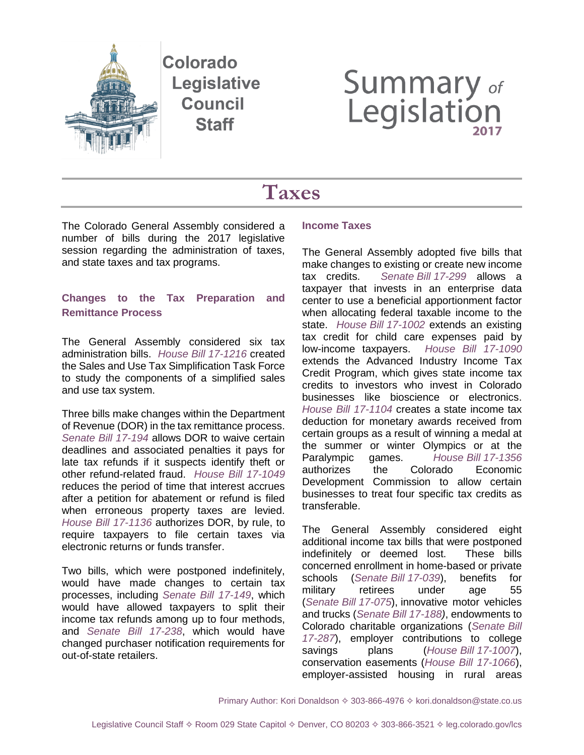

Colorado Legislative **Council Staff** 

# **Summary of**<br>Legislation

# **Taxes**

The Colorado General Assembly considered a number of bills during the 2017 legislative session regarding the administration of taxes, and state taxes and tax programs.

# **Changes to the Tax Preparation and Remittance Process**

The General Assembly considered six tax administration bills. *House Bill [17-1216](http://leg.colorado.gov/bills/hb17-1216)* created the Sales and Use Tax Simplification Task Force to study the components of a simplified sales and use tax system.

Three bills make changes within the Department of Revenue (DOR) in the tax remittance process. *[Senate Bill 17-194](http://leg.colorado.gov/bills/sb17-194)* allows DOR to waive certain deadlines and associated penalties it pays for late tax refunds if it suspects identify theft or other refund-related fraud. *[House Bill 17-1049](http://leg.colorado.gov/bills/hb17-1049)* reduces the period of time that interest accrues after a petition for abatement or refund is filed when erroneous property taxes are levied. *[House Bill 17-1136](http://leg.colorado.gov/bills/hb17-1136)* authorizes DOR, by rule, to require taxpayers to file certain taxes via electronic returns or funds transfer.

Two bills, which were postponed indefinitely, would have made changes to certain tax processes, including *[Senate Bill 17-149](http://leg.colorado.gov/bills/sb17-149)*, which would have allowed taxpayers to split their income tax refunds among up to four methods, and *[Senate Bill 17-238](http://leg.colorado.gov/bills/sb17-238)*, which would have changed purchaser notification requirements for out-of-state retailers.

## **Income Taxes**

The General Assembly adopted five bills that make changes to existing or create new income tax credits. *[Senate](http://leg.colorado.gov/bills/sb17-299) Bill 17-299* allows a taxpayer that invests in an enterprise data center to use a beneficial apportionment factor when allocating federal taxable income to the state. *House Bill [17-1002](http://leg.colorado.gov/bills/hb17-1002)* extends an existing tax credit for child care expenses paid by low-income taxpayers. *[House Bill 17-1090](http://leg.colorado.gov/bills/hb17-1090)* extends the Advanced Industry Income Tax Credit Program, which gives state income tax credits to investors who invest in Colorado businesses like bioscience or electronics. *[House Bill 17-1104](http://leg.colorado.gov/bills/hb17-1104)* creates a state income tax deduction for monetary awards received from certain groups as a result of winning a medal at the summer or winter Olympics or at the Paralympic games. *House Bill [17-1356](http://leg.colorado.gov/bills/hb17-1356)* authorizes the Colorado Economic Development Commission to allow certain businesses to treat four specific tax credits as transferable.

The General Assembly considered eight additional income tax bills that were postponed indefinitely or deemed lost. These bills concerned enrollment in home-based or private schools (*[Senate](http://leg.colorado.gov/bills/sb17-039) Bill 17-039*), benefits for military retirees under age 55 (*[Senate](http://leg.colorado.gov/bills/sb17-075) Bill 17-075*), innovative motor vehicles and trucks (*[Senate Bill](http://leg.colorado.gov/bills/sb17-188) 17-188)*, endowments to Colorado charitable organizations (*[Senate](http://leg.colorado.gov/bills/sb17-287) Bill [17-287](http://leg.colorado.gov/bills/sb17-287)*), employer contributions to college savings plans (*House Bill [17-1007](http://leg.colorado.gov/bills/hb17-1007)*), conservation easements (*[House Bill 17-1066](http://leg.colorado.gov/bills/hb17-1066)*), employer-assisted housing in rural areas